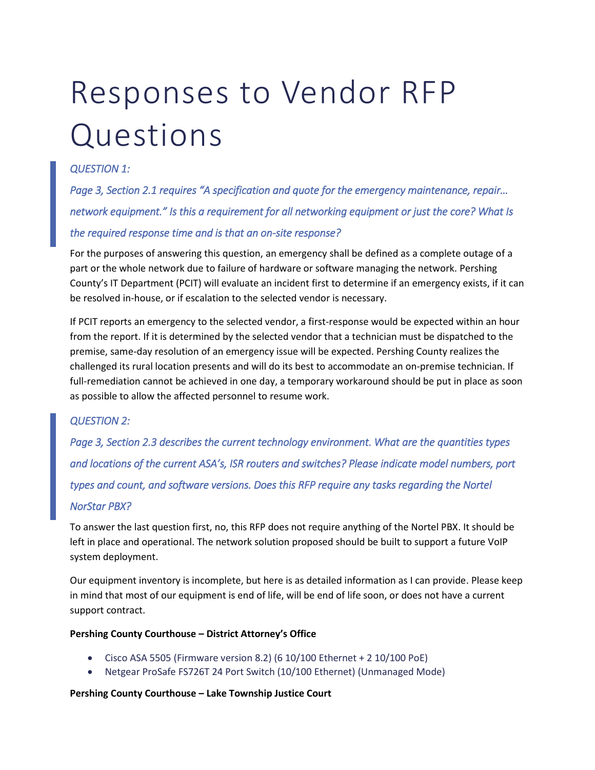# Responses to Vendor RFP Questions

## *QUESTION 1:*

*Page 3, Section 2.1 requires "A specification and quote for the emergency maintenance, repair… network equipment." Is this a requirement for all networking equipment or just the core? What Is the required response time and is that an on-site response?* 

For the purposes of answering this question, an emergency shall be defined as a complete outage of a part or the whole network due to failure of hardware or software managing the network. Pershing County's IT Department (PCIT) will evaluate an incident first to determine if an emergency exists, if it can be resolved in-house, or if escalation to the selected vendor is necessary.

If PCIT reports an emergency to the selected vendor, a first-response would be expected within an hour from the report. If it is determined by the selected vendor that a technician must be dispatched to the premise, same-day resolution of an emergency issue will be expected. Pershing County realizes the challenged its rural location presents and will do its best to accommodate an on-premise technician. If full-remediation cannot be achieved in one day, a temporary workaround should be put in place as soon as possible to allow the affected personnel to resume work.

#### *QUESTION 2:*

*Page 3, Section 2.3 describes the current technology environment. What are the quantities types and locations of the current ASA's, ISR routers and switches? Please indicate model numbers, port types and count, and software versions. Does this RFP require any tasks regarding the Nortel NorStar PBX?* 

To answer the last question first, no, this RFP does not require anything of the Nortel PBX. It should be left in place and operational. The network solution proposed should be built to support a future VoIP system deployment.

Our equipment inventory is incomplete, but here is as detailed information as I can provide. Please keep in mind that most of our equipment is end of life, will be end of life soon, or does not have a current support contract.

#### **Pershing County Courthouse – District Attorney's Office**

- Cisco ASA 5505 (Firmware version 8.2) (6 10/100 Ethernet + 2 10/100 PoE)
- Netgear ProSafe FS726T 24 Port Switch (10/100 Ethernet) (Unmanaged Mode)

#### **Pershing County Courthouse – Lake Township Justice Court**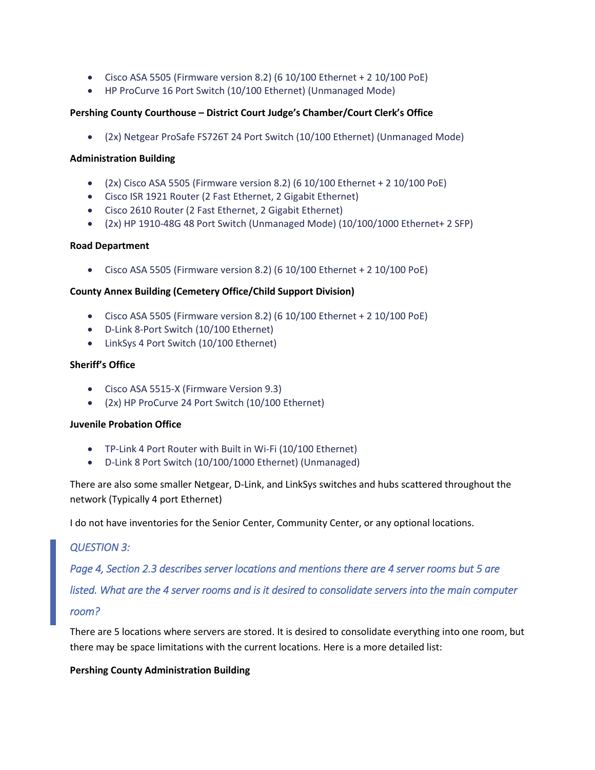- Cisco ASA 5505 (Firmware version 8.2) (6 10/100 Ethernet + 2 10/100 PoE)
- HP ProCurve 16 Port Switch (10/100 Ethernet) (Unmanaged Mode)

#### **Pershing County Courthouse – District Court Judge's Chamber/Court Clerk's Office**

• (2x) Netgear ProSafe FS726T 24 Port Switch (10/100 Ethernet) (Unmanaged Mode)

#### **Administration Building**

- $(2x)$  Cisco ASA 5505 (Firmware version 8.2) (6 10/100 Ethernet + 2 10/100 PoE)
- Cisco ISR 1921 Router (2 Fast Ethernet, 2 Gigabit Ethernet)
- Cisco 2610 Router (2 Fast Ethernet, 2 Gigabit Ethernet)
- (2x) HP 1910-48G 48 Port Switch (Unmanaged Mode) (10/100/1000 Ethernet+ 2 SFP)

#### **Road Department**

• Cisco ASA 5505 (Firmware version 8.2) (6 10/100 Ethernet + 2 10/100 PoE)

#### **County Annex Building (Cemetery Office/Child Support Division)**

- Cisco ASA 5505 (Firmware version 8.2) (6 10/100 Ethernet + 2 10/100 PoE)
- D-Link 8-Port Switch (10/100 Ethernet)
- LinkSys 4 Port Switch (10/100 Ethernet)

#### **Sheriff's Office**

- Cisco ASA 5515-X (Firmware Version 9.3)
- (2x) HP ProCurve 24 Port Switch (10/100 Ethernet)

#### **Juvenile Probation Office**

- TP-Link 4 Port Router with Built in Wi-Fi (10/100 Ethernet)
- D-Link 8 Port Switch (10/100/1000 Ethernet) (Unmanaged)

There are also some smaller Netgear, D-Link, and LinkSys switches and hubs scattered throughout the network (Typically 4 port Ethernet)

I do not have inventories for the Senior Center, Community Center, or any optional locations.

#### *QUESTION 3:*

*Page 4, Section 2.3 describes server locations and mentions there are 4 server rooms but 5 are* 

*listed. What are the 4 server rooms and is it desired to consolidate servers into the main computer* 

#### *room?*

There are 5 locations where servers are stored. It is desired to consolidate everything into one room, but there may be space limitations with the current locations. Here is a more detailed list:

#### **Pershing County Administration Building**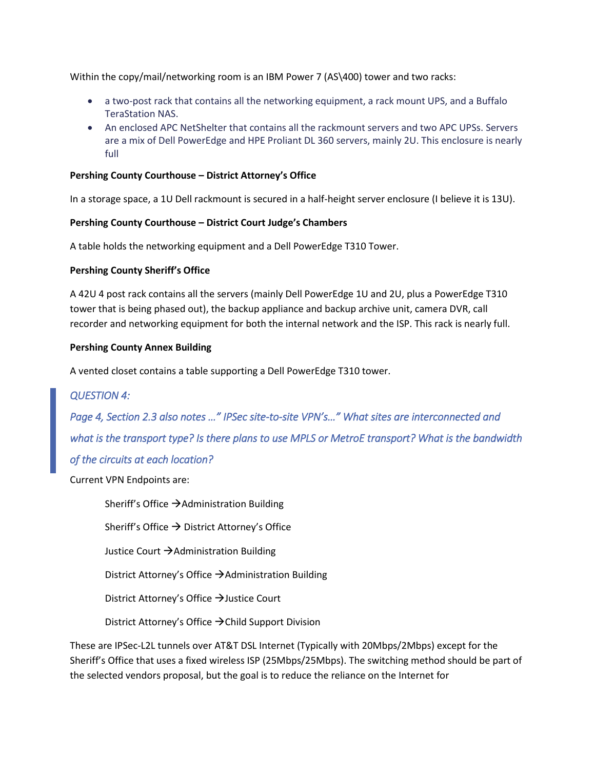Within the copy/mail/networking room is an IBM Power 7 (AS\400) tower and two racks:

- a two-post rack that contains all the networking equipment, a rack mount UPS, and a Buffalo TeraStation NAS.
- An enclosed APC NetShelter that contains all the rackmount servers and two APC UPSs. Servers are a mix of Dell PowerEdge and HPE Proliant DL 360 servers, mainly 2U. This enclosure is nearly full

#### **Pershing County Courthouse – District Attorney's Office**

In a storage space, a 1U Dell rackmount is secured in a half-height server enclosure (I believe it is 13U).

#### **Pershing County Courthouse – District Court Judge's Chambers**

A table holds the networking equipment and a Dell PowerEdge T310 Tower.

#### **Pershing County Sheriff's Office**

A 42U 4 post rack contains all the servers (mainly Dell PowerEdge 1U and 2U, plus a PowerEdge T310 tower that is being phased out), the backup appliance and backup archive unit, camera DVR, call recorder and networking equipment for both the internal network and the ISP. This rack is nearly full.

#### **Pershing County Annex Building**

A vented closet contains a table supporting a Dell PowerEdge T310 tower.

#### *QUESTION 4:*

*Page 4, Section 2.3 also notes …" IPSec site-to-site VPN's…" What sites are interconnected and what is the transport type? Is there plans to use MPLS or MetroE transport? What is the bandwidth of the circuits at each location?* 

Current VPN Endpoints are:

Sheriff's Office →Administration Building

Sheriff's Office  $\rightarrow$  District Attorney's Office

Justice Court →Administration Building

District Attorney's Office  $\rightarrow$  Administration Building

District Attorney's Office →Justice Court

District Attorney's Office →Child Support Division

These are IPSec-L2L tunnels over AT&T DSL Internet (Typically with 20Mbps/2Mbps) except for the Sheriff's Office that uses a fixed wireless ISP (25Mbps/25Mbps). The switching method should be part of the selected vendors proposal, but the goal is to reduce the reliance on the Internet for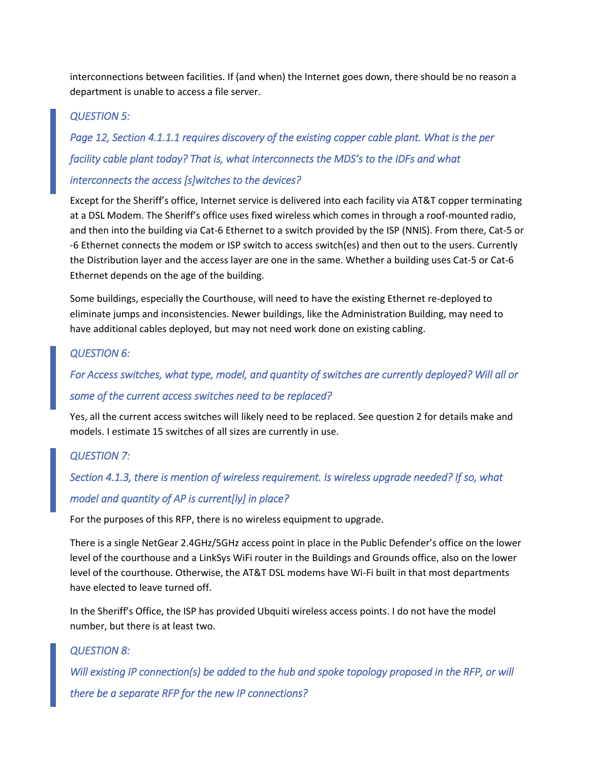interconnections between facilities. If (and when) the Internet goes down, there should be no reason a department is unable to access a file server.

#### *QUESTION 5:*

*Page 12, Section 4.1.1.1 requires discovery of the existing copper cable plant. What is the per facility cable plant today? That is, what interconnects the MDS's to the IDFs and what interconnects the access [s]witches to the devices?* 

Except for the Sheriff's office, Internet service is delivered into each facility via AT&T copper terminating at a DSL Modem. The Sheriff's office uses fixed wireless which comes in through a roof-mounted radio, and then into the building via Cat-6 Ethernet to a switch provided by the ISP (NNIS). From there, Cat-5 or -6 Ethernet connects the modem or ISP switch to access switch(es) and then out to the users. Currently the Distribution layer and the access layer are one in the same. Whether a building uses Cat-5 or Cat-6 Ethernet depends on the age of the building.

Some buildings, especially the Courthouse, will need to have the existing Ethernet re-deployed to eliminate jumps and inconsistencies. Newer buildings, like the Administration Building, may need to have additional cables deployed, but may not need work done on existing cabling.

#### *QUESTION 6:*

*For Access switches, what type, model, and quantity of switches are currently deployed? Will all or some of the current access switches need to be replaced?* 

Yes, all the current access switches will likely need to be replaced. See question 2 for details make and models. I estimate 15 switches of all sizes are currently in use.

#### *QUESTION 7:*

# *Section 4.1.3, there is mention of wireless requirement. Is wireless upgrade needed? If so, what*

# *model and quantity of AP is current[ly] in place?*

For the purposes of this RFP, there is no wireless equipment to upgrade.

There is a single NetGear 2.4GHz/5GHz access point in place in the Public Defender's office on the lower level of the courthouse and a LinkSys WiFi router in the Buildings and Grounds office, also on the lower level of the courthouse. Otherwise, the AT&T DSL modems have Wi-Fi built in that most departments have elected to leave turned off.

In the Sheriff's Office, the ISP has provided Ubquiti wireless access points. I do not have the model number, but there is at least two.

#### *QUESTION 8:*

*Will existing IP connection(s) be added to the hub and spoke topology proposed in the RFP, or will there be a separate RFP for the new IP connections?*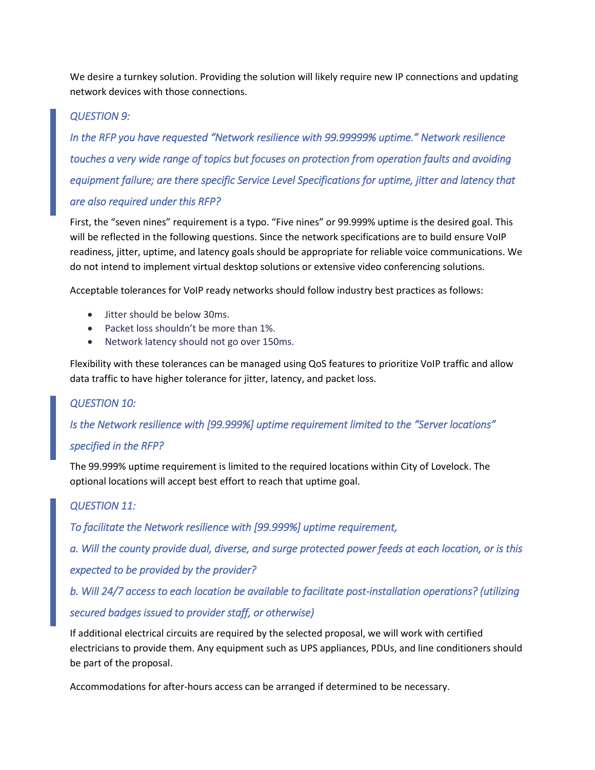We desire a turnkey solution. Providing the solution will likely require new IP connections and updating network devices with those connections.

# *QUESTION 9:*

*In the RFP you have requested "Network resilience with 99.99999% uptime." Network resilience touches a very wide range of topics but focuses on protection from operation faults and avoiding equipment failure; are there specific Service Level Specifications for uptime, jitter and latency that are also required under this RFP?* 

First, the "seven nines" requirement is a typo. "Five nines" or 99.999% uptime is the desired goal. This will be reflected in the following questions. Since the network specifications are to build ensure VoIP readiness, jitter, uptime, and latency goals should be appropriate for reliable voice communications. We do not intend to implement virtual desktop solutions or extensive video conferencing solutions.

Acceptable tolerances for VoIP ready networks should follow industry best practices as follows:

- Jitter should be below 30ms.
- Packet loss shouldn't be more than 1%.
- Network latency should not go over 150ms.

Flexibility with these tolerances can be managed using QoS features to prioritize VoIP traffic and allow data traffic to have higher tolerance for jitter, latency, and packet loss.

#### *QUESTION 10:*

*Is the Network resilience with [99.999%] uptime requirement limited to the "Server locations"* 

#### *specified in the RFP?*

The 99.999% uptime requirement is limited to the required locations within City of Lovelock. The optional locations will accept best effort to reach that uptime goal.

#### *QUESTION 11:*

*To facilitate the Network resilience with [99.999%] uptime requirement,* 

*a. Will the county provide dual, diverse, and surge protected power feeds at each location, or is this expected to be provided by the provider?* 

*b. Will 24/7 access to each location be available to facilitate post-installation operations? (utilizing secured badges issued to provider staff, or otherwise)* 

If additional electrical circuits are required by the selected proposal, we will work with certified electricians to provide them. Any equipment such as UPS appliances, PDUs, and line conditioners should be part of the proposal.

Accommodations for after-hours access can be arranged if determined to be necessary.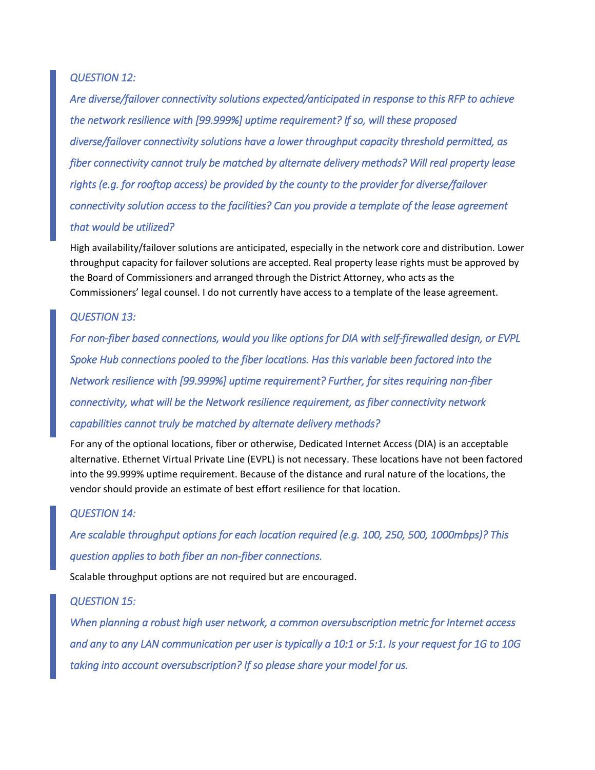#### *QUESTION 12:*

*Are diverse/failover connectivity solutions expected/anticipated in response to this RFP to achieve the network resilience with [99.999%] uptime requirement? If so, will these proposed diverse/failover connectivity solutions have a lower throughput capacity threshold permitted, as fiber connectivity cannot truly be matched by alternate delivery methods? Will real property lease rights (e.g. for rooftop access) be provided by the county to the provider for diverse/failover connectivity solution access to the facilities? Can you provide a template of the lease agreement that would be utilized?* 

High availability/failover solutions are anticipated, especially in the network core and distribution. Lower throughput capacity for failover solutions are accepted. Real property lease rights must be approved by the Board of Commissioners and arranged through the District Attorney, who acts as the Commissioners' legal counsel. I do not currently have access to a template of the lease agreement.

## *QUESTION 13:*

*For non-fiber based connections, would you like options for DIA with self-firewalled design, or EVPL Spoke Hub connections pooled to the fiber locations. Has this variable been factored into the Network resilience with [99.999%] uptime requirement? Further, for sites requiring non-fiber connectivity, what will be the Network resilience requirement, as fiber connectivity network capabilities cannot truly be matched by alternate delivery methods?* 

For any of the optional locations, fiber or otherwise, Dedicated Internet Access (DIA) is an acceptable alternative. Ethernet Virtual Private Line (EVPL) is not necessary. These locations have not been factored into the 99.999% uptime requirement. Because of the distance and rural nature of the locations, the vendor should provide an estimate of best effort resilience for that location.

#### *QUESTION 14:*

*Are scalable throughput options for each location required (e.g. 100, 250, 500, 1000mbps)? This question applies to both fiber an non-fiber connections.* 

Scalable throughput options are not required but are encouraged.

#### *QUESTION 15:*

*When planning a robust high user network, a common oversubscription metric for Internet access and any to any LAN communication per user is typically a 10:1 or 5:1. Is your request for 1G to 10G taking into account oversubscription? If so please share your model for us.*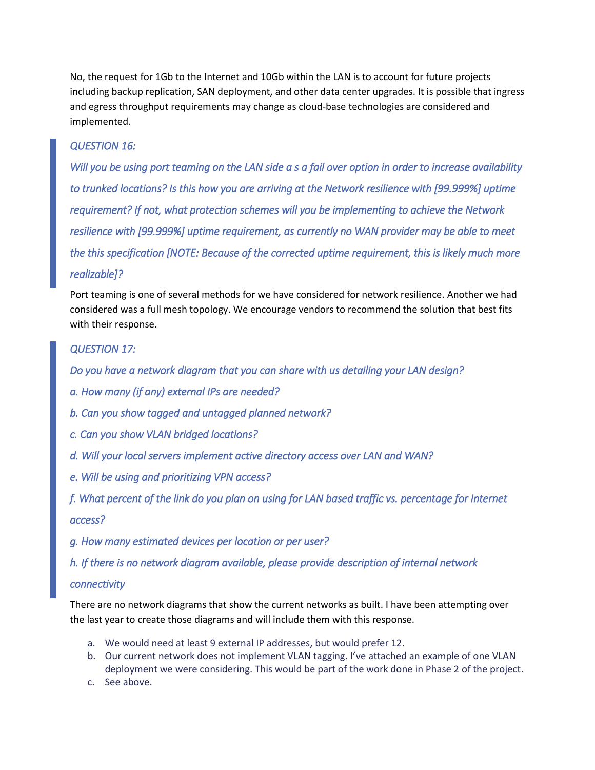No, the request for 1Gb to the Internet and 10Gb within the LAN is to account for future projects including backup replication, SAN deployment, and other data center upgrades. It is possible that ingress and egress throughput requirements may change as cloud-base technologies are considered and implemented.

## *QUESTION 16:*

*Will you be using port teaming on the LAN side a s a fail over option in order to increase availability to trunked locations? Is this how you are arriving at the Network resilience with [99.999%] uptime requirement? If not, what protection schemes will you be implementing to achieve the Network resilience with [99.999%] uptime requirement, as currently no WAN provider may be able to meet the this specification [NOTE: Because of the corrected uptime requirement, this is likely much more realizable]?* 

Port teaming is one of several methods for we have considered for network resilience. Another we had considered was a full mesh topology. We encourage vendors to recommend the solution that best fits with their response.

#### *QUESTION 17:*

*Do you have a network diagram that you can share with us detailing your LAN design?* 

- *a. How many (if any) external IPs are needed?*
- *b. Can you show tagged and untagged planned network?*
- *c. Can you show VLAN bridged locations?*
- *d. Will your local servers implement active directory access over LAN and WAN?*
- *e. Will be using and prioritizing VPN access?*

*f. What percent of the link do you plan on using for LAN based traffic vs. percentage for Internet access?* 

*g. How many estimated devices per location or per user?* 

*h. If there is no network diagram available, please provide description of internal network* 

#### *connectivity*

There are no network diagrams that show the current networks as built. I have been attempting over the last year to create those diagrams and will include them with this response.

- a. We would need at least 9 external IP addresses, but would prefer 12.
- b. Our current network does not implement VLAN tagging. I've attached an example of one VLAN deployment we were considering. This would be part of the work done in Phase 2 of the project.
- c. See above.